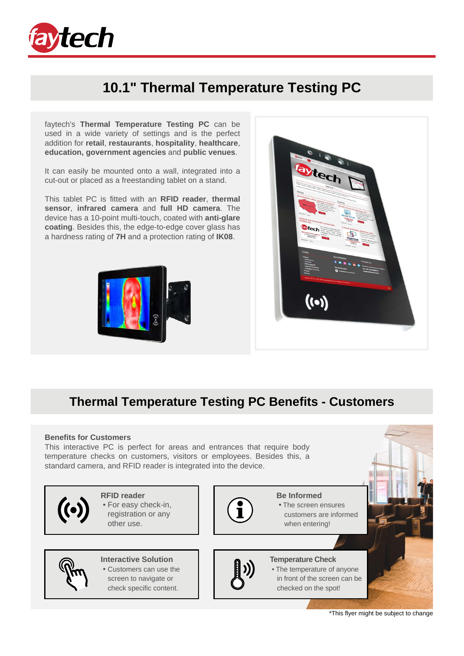

## **10.1" Thermal Temperature Testing PC**

faytech's **Thermal Temperature Testing PC** can be used in a wide variety of settings and is the perfect addition for **retail**, **restaurants**, **hospitality**, **healthcare**, **education, government agencies** and **public venues**.

It can easily be mounted onto a wall, integrated into a cut-out or placed as a freestanding tablet on a stand.

This tablet PC is fitted with an **RFID reader**, **thermal sensor**, **infrared camera** and **full HD camera**. The device has a 10-point multi-touch, coated with **anti-glare coating**. Besides this, the edge-to-edge cover glass has a hardness rating of **7H** and a protection rating of **IK08**.





### **Thermal Temperature Testing PC Benefits - Customers**

#### **Benefits for Customers**

This interactive PC is perfect for areas and entrances that require body temperature checks on customers, visitors or employees. Besides this, a standard camera, and RFID reader is integrated into the device.



\*This flyer might be subject to change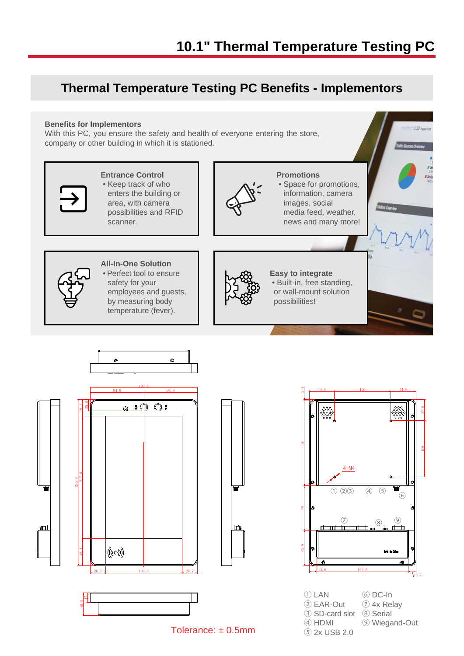## **Thermal Temperature Testing PC Benefits - Implementors**

#### **Benefits for Implementors**

With this PC, you ensure the safety and health of everyone entering the store, company or other building in which it is stationed.



Tolerance: ± 0.5mm

⑤ 2x USB 2.0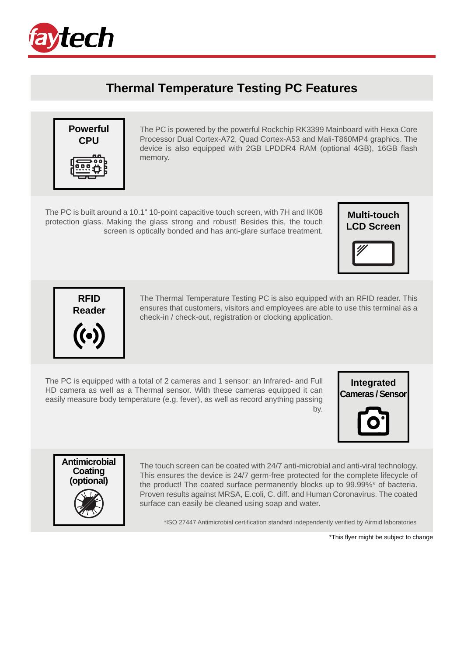

## **Thermal Temperature Testing PC Features**



The PC is powered by the powerful Rockchip RK3399 Mainboard with Hexa Core Processor Dual Cortex-A72, Quad Cortex-A53 and Mali-T860MP4 graphics. The device is also equipped with 2GB LPDDR4 RAM (optional 4GB), 16GB flash memory.

The PC is built around a 10.1" 10-point capacitive touch screen, with 7H and IK08 protection glass. Making the glass strong and robust! Besides this, the touch screen is optically bonded and has anti-glare surface treatment.





The Thermal Temperature Testing PC is also equipped with an RFID reader. This ensures that customers, visitors and employees are able to use this terminal as a check-in / check-out, registration or clocking application.

The PC is equipped with a total of 2 cameras and 1 sensor: an Infrared- and Full HD camera as well as a Thermal sensor. With these cameras equipped it can easily measure body temperature (e.g. fever), as well as record anything passing by.

**Integrated Cameras / Sensor**



The touch screen can be coated with 24/7 anti-microbial and anti-viral technology. This ensures the device is 24/7 germ-free protected for the complete lifecycle of the product! The coated surface permanently blocks up to 99.99%\* of bacteria. Proven results against MRSA, E.coli, C. diff. and Human Coronavirus. The coated surface can easily be cleaned using soap and water.

\*ISO 27447 Antimicrobial certification standard independently verified by Airmid laboratories

\*This flyer might be subject to change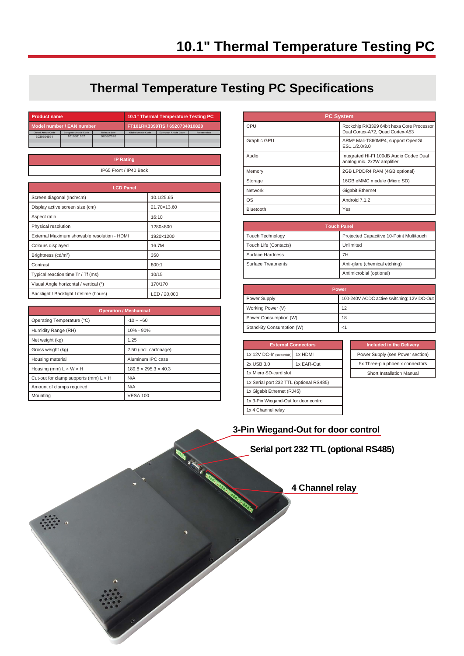## **Thermal Temperature Testing PC Specifications**

| <b>Product name</b>                         |                                     | 10.1" Thermal Temperature Testing PC |                            |         |                              |                     |
|---------------------------------------------|-------------------------------------|--------------------------------------|----------------------------|---------|------------------------------|---------------------|
| Model number / EAN number                   |                                     | FT101RK3399TIS / 6920734010820       |                            |         |                              |                     |
| <b>Global Article Code</b><br>3030504964    | European Article Code<br>1010501962 | <b>Release date</b><br>16/05/2020    | <b>Global Article Code</b> |         | <b>European Article Code</b> | <b>Release date</b> |
|                                             |                                     |                                      |                            |         |                              |                     |
|                                             |                                     |                                      |                            |         |                              |                     |
| <b>IP Rating</b>                            |                                     |                                      |                            |         |                              |                     |
|                                             |                                     | IP65 Front / IP40 Back               |                            |         |                              |                     |
|                                             |                                     |                                      |                            |         |                              |                     |
| <b>LCD Panel</b>                            |                                     |                                      |                            |         |                              |                     |
| Screen diagonal (Inch/cm)                   |                                     |                                      | 10.1/25.65                 |         |                              |                     |
| Display active screen size (cm)             |                                     |                                      | 21.70×13.60                |         |                              |                     |
| Aspect ratio                                |                                     |                                      | 16:10                      |         |                              |                     |
| Physical resolution                         |                                     |                                      | 1280×800                   |         |                              |                     |
| External Maximum showable resolution - HDMI |                                     |                                      | 1920×1200                  |         |                              |                     |
| Colours displayed                           |                                     |                                      | 16.7M                      |         |                              |                     |
| Brightness (cd/m <sup>2</sup> )             |                                     |                                      | 350                        |         |                              |                     |
| Contrast                                    |                                     |                                      |                            | 800:1   |                              |                     |
| Typical reaction time Tr / Tf (ms)          |                                     |                                      |                            | 10/15   |                              |                     |
| Visual Angle horizontal / vertical (°)      |                                     |                                      |                            | 170/170 |                              |                     |
| Backlight / Backlight Lifetime (hours)      |                                     |                                      |                            |         | LED / 20,000                 |                     |
|                                             |                                     |                                      |                            |         |                              |                     |

| <b>Operation / Mechanical</b>                |                                  |  |
|----------------------------------------------|----------------------------------|--|
| Operating Temperature (°C)                   | $-10 - +60$                      |  |
| Humidity Range (RH)                          | 10% - 90%                        |  |
| Net weight (kg)                              | 1.25                             |  |
| Gross weight (kg)                            | 2.50 (incl. cartonage)           |  |
| Housing material                             | Aluminum IPC case                |  |
| Housing (mm) $L \times W \times H$           | $189.8 \times 295.3 \times 40.3$ |  |
| Cut-out for clamp supports (mm) $L \times H$ | N/A                              |  |
| Amount of clamps required                    | N/A                              |  |
| Mountina                                     | <b>VESA 100</b>                  |  |

| <b>PC System</b>   |                                                                               |  |
|--------------------|-------------------------------------------------------------------------------|--|
| CPU                | Rockchip RK3399 64bit hexa Core Processor<br>Dual Cortex-A72, Quad Cortex-A53 |  |
| <b>Graphic GPU</b> | ARM <sup>®</sup> Mali-T860MP4, support OpenGL<br>ES1.1/2.0/3.0                |  |
| Audio              | Integrated HI-FI 100dB Audio Codec Dual<br>analog mic. 2x2W amplifier         |  |
| Memory             | 2GB LPDDR4 RAM (4GB optional)                                                 |  |
| Storage            | 16GB eMMC module (Micro SD)                                                   |  |
| Network            | <b>Gigabit Ethernet</b>                                                       |  |
| <b>OS</b>          | Android 7.1.2                                                                 |  |
| Bluetooth          | Yes                                                                           |  |

| <b>Touch Panel</b>        |                                          |  |
|---------------------------|------------------------------------------|--|
| <b>Touch Technology</b>   | Projected Capacitive 10-Point Multitouch |  |
| Touch Life (Contacts)     | Unlimited                                |  |
| Surface Hardness          | 7H                                       |  |
| <b>Surface Treatments</b> | Anti-glare (chemical etching)            |  |
|                           | Antimicrobial (optional)                 |  |

| Power                    |                                            |  |
|--------------------------|--------------------------------------------|--|
| Power Supply             | 100-240V ACDC active switching; 12V DC-Out |  |
| Working Power (V)        | 12                                         |  |
| Power Consumption (W)    | 18                                         |  |
| Stand-By Consumption (W) | <1                                         |  |

| <b>External Connectors</b>              |            |  |  |
|-----------------------------------------|------------|--|--|
| 1x HDMI<br>1x 12V DC-In (screwable)     |            |  |  |
| 2x USB 3.0                              | 1x EAR-Out |  |  |
| 1x Micro SD-card slot                   |            |  |  |
| 1x Serial port 232 TTL (optional RS485) |            |  |  |
| 1x Gigabit Ethernet (RJ45)              |            |  |  |
| 1x 3-Pin Wiegand-Out for door control   |            |  |  |
| 1x 4 Channel relay                      |            |  |  |

| <b>Included in the Delivery</b>  |  |  |
|----------------------------------|--|--|
| Power Supply (see Power section) |  |  |
| 5x Three-pin phoenix connectors  |  |  |
| Short Installation Manual        |  |  |

### **3-Pin Wiegand-Out for door control**

**Serial port 232 TTL (optional RS485)**

**4 Channel relay**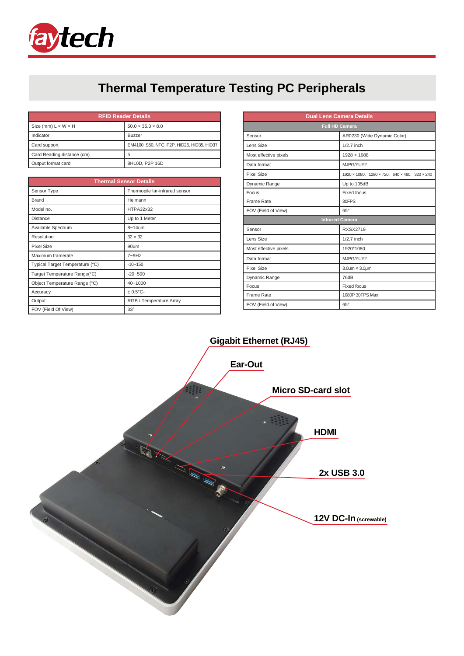

# **Thermal Temperature Testing PC Peripherals**

| <b>RFID Reader Details</b>      |                                            |  |
|---------------------------------|--------------------------------------------|--|
| Size (mm) $L \times W \times H$ | $50.0 \times 35.0 \times 8.0$              |  |
| Indicator                       | <b>Buzzer</b>                              |  |
| Card support                    | EM4100, S50, NFC, P2P, HID26, HID35, HID37 |  |
| Card Reading distance (cm)      | 5                                          |  |
| Output format card              | 8H10D, P2P 16D                             |  |

| <b>Thermal Sensor Details</b>   |                                |  |
|---------------------------------|--------------------------------|--|
| Sensor Type                     | Thermopile far-infrared sensor |  |
| <b>Brand</b>                    | Heimann                        |  |
| Model no.                       | HTPA32x32                      |  |
| <b>Distance</b>                 | Up to 1 Meter                  |  |
| Available Spectrum              | $8 - 14$ um                    |  |
| Resolution                      | $32 \times 32$                 |  |
| Pixel Size                      | 90um                           |  |
| Maximum framerate               | $7 - 9$ Hz                     |  |
| Typical Target Temperature (°C) | $-10 - 150$                    |  |
| Target Temperature Range(°C)    | $-20 - 500$                    |  |
| Object Temperature Range (°C)   | 40~1000                        |  |
| Accuracy                        | $± 0.5$ °C-                    |  |
| Output                          | RGB / Temperature Array        |  |
| FOV (Field Of View)             | $33^\circ$                     |  |

| <b>Dual Lens Camera Details</b> |                                               |  |  |
|---------------------------------|-----------------------------------------------|--|--|
| <b>Full HD Camera</b>           |                                               |  |  |
| Sensor                          | AR0230 (Wide Dynamic Color)                   |  |  |
| Lens Size                       | $1/2.7$ inch                                  |  |  |
| Most effective pixels           | $1928 \times 1088$                            |  |  |
| Data format                     | MJPG/YUY2                                     |  |  |
| Pixel Size                      | 1920 × 1080, 1280 × 720, 640 × 480, 320 × 240 |  |  |
| Dynamic Range                   | Up to 105dB                                   |  |  |
| Focus                           | <b>Fixed focus</b>                            |  |  |
| Frame Rate                      | 30FPS                                         |  |  |
| FOV (Field of View)             | $65^\circ$                                    |  |  |
| <b>Infrared Camera</b>          |                                               |  |  |
| Sensor                          | <b>RXSX2719</b>                               |  |  |
| Lens Size                       | $1/2.7$ inch                                  |  |  |
| Most effective pixels           | 1920*1080                                     |  |  |
| Data format                     | MJPG/YUY2                                     |  |  |
| Pixel Size                      | $3.0$ um $\times$ $3.0$ um                    |  |  |
| Dynamic Range                   | 76dB                                          |  |  |
| Focus                           | <b>Fixed focus</b>                            |  |  |
| Frame Rate                      | 1080P 30FPS Max                               |  |  |
| FOV (Field of View)             | $65^\circ$                                    |  |  |